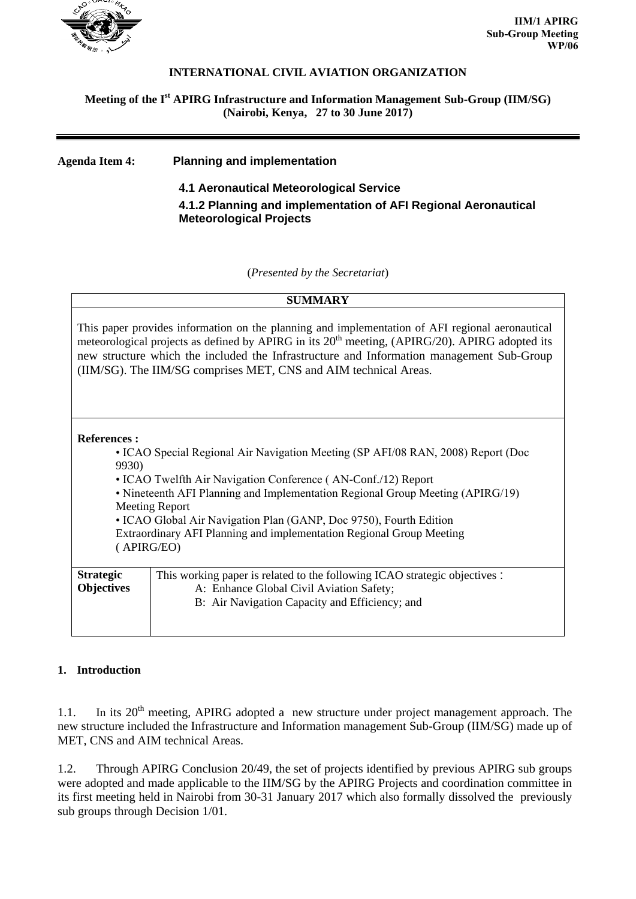

#### **INTERNATIONAL CIVIL AVIATION ORGANIZATION**

## **Meeting of the I st APIRG Infrastructure and Information Management Sub-Group (IIM/SG) (Nairobi, Kenya, 27 to 30 June 2017)**

# **Agenda Item 4: Planning and implementation 4.1 Aeronautical Meteorological Service 4.1.2 Planning and implementation of AFI Regional Aeronautical Meteorological Projects**

(*Presented by the Secretariat*)

| <b>SUMMARY</b>                                                                                                                                                                                                                                                                                                                                                                                                                                          |                                                                                                                                                                          |
|---------------------------------------------------------------------------------------------------------------------------------------------------------------------------------------------------------------------------------------------------------------------------------------------------------------------------------------------------------------------------------------------------------------------------------------------------------|--------------------------------------------------------------------------------------------------------------------------------------------------------------------------|
| This paper provides information on the planning and implementation of AFI regional aeronautical<br>meteorological projects as defined by APIRG in its 20 <sup>th</sup> meeting, (APIRG/20). APIRG adopted its<br>new structure which the included the Infrastructure and Information management Sub-Group<br>(IIM/SG). The IIM/SG comprises MET, CNS and AIM technical Areas.                                                                           |                                                                                                                                                                          |
| <b>References:</b><br>• ICAO Special Regional Air Navigation Meeting (SP AFI/08 RAN, 2008) Report (Doc<br>9930)<br>• ICAO Twelfth Air Navigation Conference (AN-Conf./12) Report<br>• Nineteenth AFI Planning and Implementation Regional Group Meeting (APIRG/19)<br><b>Meeting Report</b><br>• ICAO Global Air Navigation Plan (GANP, Doc 9750), Fourth Edition<br>Extraordinary AFI Planning and implementation Regional Group Meeting<br>(APIRG/EO) |                                                                                                                                                                          |
| <b>Strategic</b><br><b>Objectives</b>                                                                                                                                                                                                                                                                                                                                                                                                                   | This working paper is related to the following ICAO strategic objectives :<br>A: Enhance Global Civil Aviation Safety;<br>B: Air Navigation Capacity and Efficiency; and |

## **1. Introduction**

1.1. In its 20<sup>th</sup> meeting, APIRG adopted a new structure under project management approach. The new structure included the Infrastructure and Information management Sub-Group (IIM/SG) made up of MET, CNS and AIM technical Areas.

1.2. Through APIRG Conclusion 20/49, the set of projects identified by previous APIRG sub groups were adopted and made applicable to the IIM/SG by the APIRG Projects and coordination committee in its first meeting held in Nairobi from 30-31 January 2017 which also formally dissolved the previously sub groups through Decision 1/01.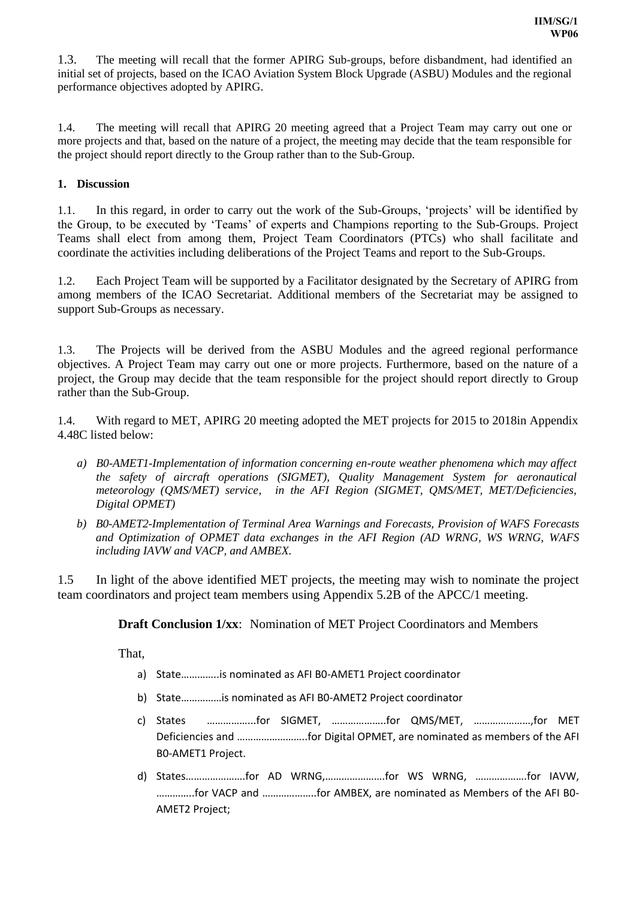1.3. The meeting will recall that the former APIRG Sub-groups, before disbandment, had identified an initial set of projects, based on the ICAO Aviation System Block Upgrade (ASBU) Modules and the regional performance objectives adopted by APIRG.

1.4. The meeting will recall that APIRG 20 meeting agreed that a Project Team may carry out one or more projects and that, based on the nature of a project, the meeting may decide that the team responsible for the project should report directly to the Group rather than to the Sub-Group.

#### **1. Discussion**

1.1. In this regard, in order to carry out the work of the Sub-Groups, 'projects' will be identified by the Group, to be executed by 'Teams' of experts and Champions reporting to the Sub-Groups. Project Teams shall elect from among them, Project Team Coordinators (PTCs) who shall facilitate and coordinate the activities including deliberations of the Project Teams and report to the Sub-Groups.

1.2. Each Project Team will be supported by a Facilitator designated by the Secretary of APIRG from among members of the ICAO Secretariat. Additional members of the Secretariat may be assigned to support Sub-Groups as necessary.

1.3. The Projects will be derived from the ASBU Modules and the agreed regional performance objectives. A Project Team may carry out one or more projects. Furthermore, based on the nature of a project, the Group may decide that the team responsible for the project should report directly to Group rather than the Sub-Group.

1.4. With regard to MET, APIRG 20 meeting adopted the MET projects for 2015 to 2018in Appendix 4.48C listed below:

- *a) B0-AMET1-Implementation of information concerning en-route weather phenomena which may affect the safety of aircraft operations (SIGMET), Quality Management System for aeronautical meteorology (QMS/MET) service, in the AFI Region (SIGMET, QMS/MET, MET/Deficiencies, Digital OPMET)*
- *b) B0-AMET2-Implementation of Terminal Area Warnings and Forecasts, Provision of WAFS Forecasts and Optimization of OPMET data exchanges in the AFI Region (AD WRNG, WS WRNG, WAFS including IAVW and VACP, and AMBEX.*

1.5 In light of the above identified MET projects, the meeting may wish to nominate the project team coordinators and project team members using Appendix 5.2B of the APCC/1 meeting.

**Draft Conclusion 1/xx**: Nomination of MET Project Coordinators and Members

That,

- a) State…………..is nominated as AFI B0-AMET1 Project coordinator
- b) State……………is nominated as AFI B0-AMET2 Project coordinator
- c) States ……………...for SIGMET, ………………..for QMS/MET, …………………,for MET Deficiencies and ……………………..for Digital OPMET, are nominated as members of the AFI B0-AMET1 Project.
- d) States………………….for AD WRNG,………………….for WS WRNG, ……………….for IAVW, …………..for VACP and ………………..for AMBEX, are nominated as Members of the AFI B0- AMET2 Project;